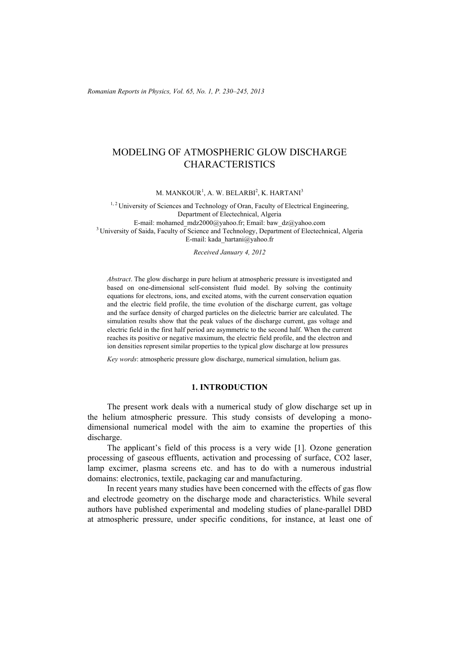*Romanian Reports in Physics, Vol. 65, No. 1, P. 230–245, 2013*

# MODELING OF ATMOSPHERIC GLOW DISCHARGE CHARACTERISTICS

M. MANKOUR $^{\rm l}$ , A. W. BELARBI $^{\rm 2}$ , K. HARTANI $^{\rm 3}$ 

<sup>1, 2</sup> University of Sciences and Technology of Oran, Faculty of Electrical Engineering, Department of Electechnical, Algeria<br>E-mail: mohamed mdz2000@yahoo.fr; Email: baw\_dz@yahoo.com <sup>3</sup> University of Saida, Faculty of Science and Technology, Department of Electechnical, Algeria E-mail: kada\_hartani@yahoo.fr

*Received January 4, 2012* 

*Abstract*. The glow discharge in pure helium at atmospheric pressure is investigated and based on one-dimensional self-consistent fluid model. By solving the continuity equations for electrons, ions, and excited atoms, with the current conservation equation and the electric field profile, the time evolution of the discharge current, gas voltage and the surface density of charged particles on the dielectric barrier are calculated. The simulation results show that the peak values of the discharge current, gas voltage and electric field in the first half period are asymmetric to the second half. When the current reaches its positive or negative maximum, the electric field profile, and the electron and ion densities represent similar properties to the typical glow discharge at low pressures

*Key words*: atmospheric pressure glow discharge, numerical simulation, helium gas.

## **1. INTRODUCTION**

The present work deals with a numerical study of glow discharge set up in the helium atmospheric pressure. This study consists of developing a monodimensional numerical model with the aim to examine the properties of this discharge.

The applicant's field of this process is a very wide [1]. Ozone generation processing of gaseous effluents, activation and processing of surface, CO2 laser, lamp excimer, plasma screens etc. and has to do with a numerous industrial domains: electronics, textile, packaging car and manufacturing.

In recent years many studies have been concerned with the effects of gas flow and electrode geometry on the discharge mode and characteristics. While several authors have published experimental and modeling studies of plane-parallel DBD at atmospheric pressure, under specific conditions, for instance, at least one of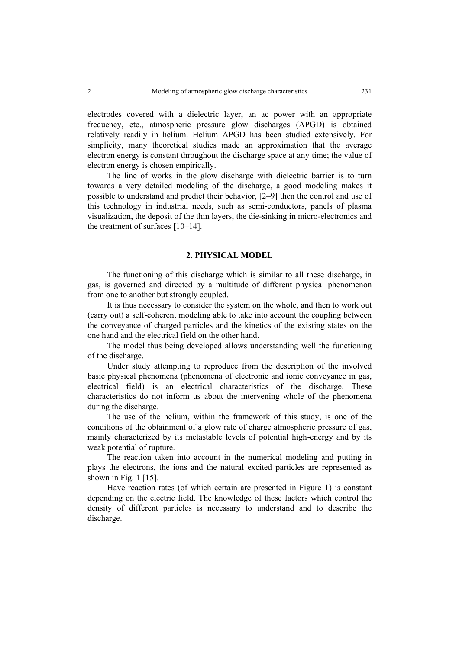electrodes covered with a dielectric layer, an ac power with an appropriate frequency, etc., atmospheric pressure glow discharges (APGD) is obtained relatively readily in helium. Helium APGD has been studied extensively. For simplicity, many theoretical studies made an approximation that the average electron energy is constant throughout the discharge space at any time; the value of electron energy is chosen empirically.

The line of works in the glow discharge with dielectric barrier is to turn towards a very detailed modeling of the discharge, a good modeling makes it possible to understand and predict their behavior, [2–9] then the control and use of this technology in industrial needs, such as semi-conductors, panels of plasma visualization, the deposit of the thin layers, the die-sinking in micro-electronics and the treatment of surfaces [10–14].

#### **2. PHYSICAL MODEL**

The functioning of this discharge which is similar to all these discharge, in gas, is governed and directed by a multitude of different physical phenomenon from one to another but strongly coupled.

It is thus necessary to consider the system on the whole, and then to work out (carry out) a self-coherent modeling able to take into account the coupling between the conveyance of charged particles and the kinetics of the existing states on the one hand and the electrical field on the other hand.

The model thus being developed allows understanding well the functioning of the discharge.

Under study attempting to reproduce from the description of the involved basic physical phenomena (phenomena of electronic and ionic conveyance in gas, electrical field) is an electrical characteristics of the discharge. These characteristics do not inform us about the intervening whole of the phenomena during the discharge.

The use of the helium, within the framework of this study, is one of the conditions of the obtainment of a glow rate of charge atmospheric pressure of gas, mainly characterized by its metastable levels of potential high-energy and by its weak potential of rupture.

The reaction taken into account in the numerical modeling and putting in plays the electrons, the ions and the natural excited particles are represented as shown in Fig. 1 [15]*.*

Have reaction rates (of which certain are presented in Figure 1) is constant depending on the electric field. The knowledge of these factors which control the density of different particles is necessary to understand and to describe the discharge.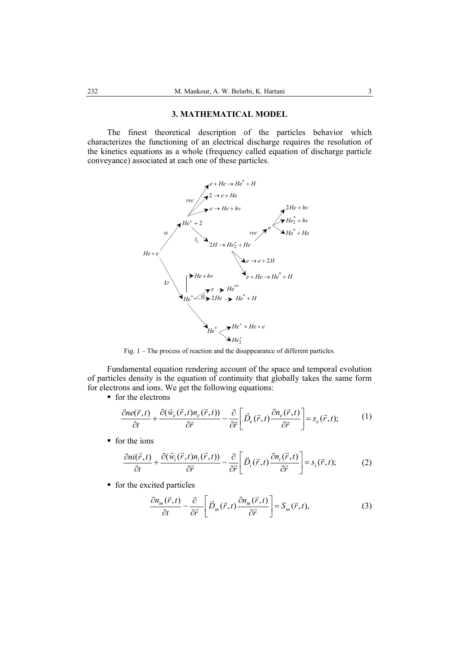### **3. MATHEMATICAL MODEL**

The finest theoretical description of the particles behavior which characterizes the functioning of an electrical discharge requires the resolution of the kinetics equations as a whole (frequency called equation of discharge particle conveyance) associated at each one of these particles.



Fig. 1 – The process of reaction and the disappearance of different particles.

Fundamental equation rendering account of the space and temporal evolution of particles density is the equation of continuity that globally takes the same form for electrons and ions. We get the following equations:

 $\blacksquare$  for the electrons

$$
\frac{\partial ne(\vec{r},t)}{\partial t} + \frac{\partial(\vec{w}_e(\vec{r},t)n_e(\vec{r},t))}{\partial \vec{r}} - \frac{\partial}{\partial \vec{r}} \left[ \vec{D}_e(\vec{r},t) \frac{\partial n_e(\vec{r},t)}{\partial \vec{r}} \right] = s_e(\vec{r},t); \tag{1}
$$

**for the ions** 

$$
\frac{\partial n i(\vec{r},t)}{\partial t} + \frac{\partial (\vec{w}_i(\vec{r},t)n_i(\vec{r},t))}{\partial \vec{r}} - \frac{\partial}{\partial \vec{r}} \left[ \vec{D}_i(\vec{r},t) \frac{\partial n_i(\vec{r},t)}{\partial \vec{r}} \right] = s_i(\vec{r},t); \tag{2}
$$

 $\blacksquare$  for the excited particles

$$
\frac{\partial n_m(\vec{r},t)}{\partial t} - \frac{\partial}{\partial \vec{r}} \left[ \vec{D}_m(\vec{r},t) \frac{\partial n_m(\vec{r},t)}{\partial \vec{r}} \right] = S_m(\vec{r},t), \tag{3}
$$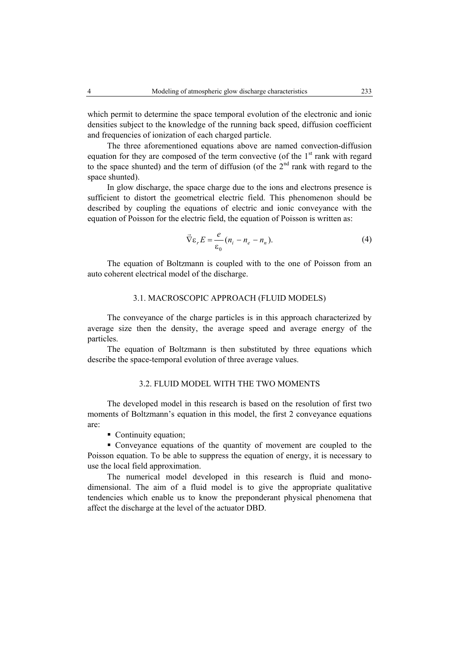which permit to determine the space temporal evolution of the electronic and ionic densities subject to the knowledge of the running back speed, diffusion coefficient and frequencies of ionization of each charged particle.

The three aforementioned equations above are named convection-diffusion equation for they are composed of the term convective (of the  $1<sup>st</sup>$  rank with regard to the space shunted) and the term of diffusion (of the  $2<sup>nd</sup>$  rank with regard to the space shunted).

In glow discharge, the space charge due to the ions and electrons presence is sufficient to distort the geometrical electric field. This phenomenon should be described by coupling the equations of electric and ionic conveyance with the equation of Poisson for the electric field, the equation of Poisson is written as:

$$
\vec{\nabla}\varepsilon_r E = \frac{e}{\varepsilon_0} (n_i - n_e - n_n). \tag{4}
$$

The equation of Boltzmann is coupled with to the one of Poisson from an auto coherent electrical model of the discharge.

### 3.1. MACROSCOPIC APPROACH (FLUID MODELS)

The conveyance of the charge particles is in this approach characterized by average size then the density, the average speed and average energy of the particles.

The equation of Boltzmann is then substituted by three equations which describe the space-temporal evolution of three average values.

## 3.2. FLUID MODEL WITH THE TWO MOMENTS

The developed model in this research is based on the resolution of first two moments of Boltzmann's equation in this model, the first 2 conveyance equations are:

• Continuity equation:

 Conveyance equations of the quantity of movement are coupled to the Poisson equation. To be able to suppress the equation of energy, it is necessary to use the local field approximation.

The numerical model developed in this research is fluid and monodimensional. The aim of a fluid model is to give the appropriate qualitative tendencies which enable us to know the preponderant physical phenomena that affect the discharge at the level of the actuator DBD.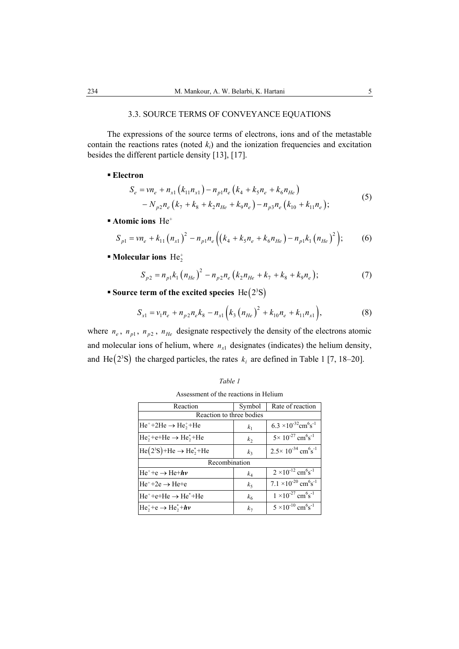# 3.3. SOURCE TERMS OF CONVEYANCE EQUATIONS

The expressions of the source terms of electrons, ions and of the metastable contain the reactions rates (noted  $k_i$ ) and the ionization frequencies and excitation besides the different particle density [13], [17].

# **Electron**

$$
S_e = v n_e + n_{x1} (k_{11} n_{x1}) - n_{p1} n_e (k_4 + k_5 n_e + k_6 n_{He})
$$
  
-  $N_{p2} n_e (k_7 + k_8 + k_2 n_{He} + k_9 n_e) - n_{p3} n_e (k_{10} + k_{11} n_e);$  (5)

**Atomic ions** He+

$$
S_{p1} = v n_e + k_{11} (n_{x1})^2 - n_{p1} n_e \left( (k_4 + k_5 n_e + k_6 n_{He}) - n_{p1} k_1 (n_{He})^2 \right); \tag{6}
$$

**Molecular ions** He<sub>2</sub><sup>+</sup>

$$
S_{p2} = n_{p1}k_1 (n_{He})^2 - n_{p2}n_e (k_2 n_{He} + k_7 + k_8 + k_9 n_e); \qquad (7)
$$

**Source term of the excited species**  $He(2^{3}S)$ 

$$
S_{x1} = v_1 n_e + n_{p2} n_e k_8 - n_{x1} (k_3 (n_{He})^2 + k_{10} n_e + k_{11} n_{x1}),
$$
 (8)

where  $n_e$ ,  $n_{p1}$ ,  $n_{p2}$ ,  $n_{He}$  designate respectively the density of the electrons atomic and molecular ions of helium, where  $n_{x1}$  designates (indicates) the helium density, and He $( 2<sup>3</sup>S )$  the charged particles, the rates  $k<sub>i</sub>$  are defined in Table 1 [7, 18–20].

| Reaction                                      | Symbol         | Rate of reaction                                               |  |  |
|-----------------------------------------------|----------------|----------------------------------------------------------------|--|--|
| Reaction to three bodies                      |                |                                                                |  |  |
| $He^+ + 2He \rightarrow He^+ + He$            | k <sub>1</sub> | 6.3 $\times$ 10 <sup>-32</sup> cm <sup>6</sup> s <sup>-1</sup> |  |  |
| $He_2^+ + e + He \rightarrow He_2^* + He$     | k <sub>2</sub> | $5 \times 10^{-27}$ cm <sup>6</sup> s <sup>-1</sup>            |  |  |
| $He(2^{3}S) + He \rightarrow He_{2}^{*} + He$ | k <sub>3</sub> | $2.5 \times 10^{-34}$ cm <sup>6</sup> s <sup>-1</sup>          |  |  |
| Recombination                                 |                |                                                                |  |  |
| $He^+ + e \rightarrow He + hv$                | $k_4$          | $2 \times 10^{-12}$ cm <sup>6</sup> s <sup>-1</sup>            |  |  |
| $He^+ + 2e \rightarrow He^+e$                 | $k_{5}$        | $7.1 \times 10^{-20}$ cm <sup>6</sup> s <sup>-1</sup>          |  |  |
| $He^+ + e^+He \rightarrow He^+ + He$          | k <sub>6</sub> | $1 \times 10^{-27}$ cm <sup>6</sup> s <sup>-1</sup>            |  |  |
| $He_2^+ + e \rightarrow He_2^* + h\nu$        | k <sub>7</sub> | $5 \times 10^{-10}$ cm <sup>6</sup> s <sup>-1</sup>            |  |  |

Assessment of the reactions in Helium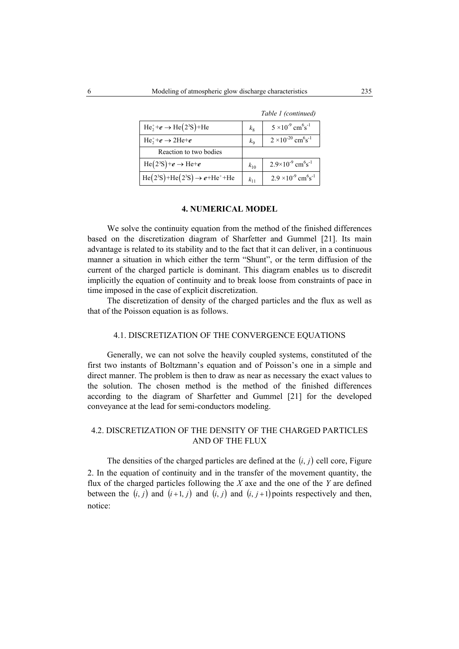|                                        |             | Table <i>1</i> (continued)                           |
|----------------------------------------|-------------|------------------------------------------------------|
| $He_2^+ + e \rightarrow He(2^3S) + He$ | $k_{\rm R}$ | $5 \times 10^{-9}$ cm <sup>6</sup> s <sup>-1</sup>   |
| $He_2^+ + e \rightarrow 2He_+e$        | $k_{\rm o}$ | $2 \times 10^{-20}$ cm <sup>6</sup> s <sup>-1</sup>  |
| Reaction to two bodies                 |             |                                                      |
| $He(2^{3}S)+e \rightarrow He+e$        | $k_{10}$    | $2.9\times10^{-9}$ cm <sup>6</sup> s <sup>-1</sup>   |
| $He(23S)+He(23S) \rightarrow e+He++He$ | $k_{11}$    | $2.9 \times 10^{-9}$ cm <sup>6</sup> s <sup>-1</sup> |

 *Table 1 (continued)* 

### **4. NUMERICAL MODEL**

We solve the continuity equation from the method of the finished differences based on the discretization diagram of Sharfetter and Gummel [21]. Its main advantage is related to its stability and to the fact that it can deliver, in a continuous manner a situation in which either the term "Shunt", or the term diffusion of the current of the charged particle is dominant. This diagram enables us to discredit implicitly the equation of continuity and to break loose from constraints of pace in time imposed in the case of explicit discretization.

The discretization of density of the charged particles and the flux as well as that of the Poisson equation is as follows.

#### 4.1. DISCRETIZATION OF THE CONVERGENCE EQUATIONS

Generally, we can not solve the heavily coupled systems, constituted of the first two instants of Boltzmann's equation and of Poisson's one in a simple and direct manner. The problem is then to draw as near as necessary the exact values to the solution. The chosen method is the method of the finished differences according to the diagram of Sharfetter and Gummel [21] for the developed conveyance at the lead for semi-conductors modeling.

# 4.2. DISCRETIZATION OF THE DENSITY OF THE CHARGED PARTICLES AND OF THE FLUX

The densities of the charged particles are defined at the  $(i, j)$  cell core, Figure 2. In the equation of continuity and in the transfer of the movement quantity, the flux of the charged particles following the *X* axe and the one of the *Y* are defined between the  $(i, j)$  and  $(i+1, j)$  and  $(i, j)$  and  $(i, j+1)$  points respectively and then, notice: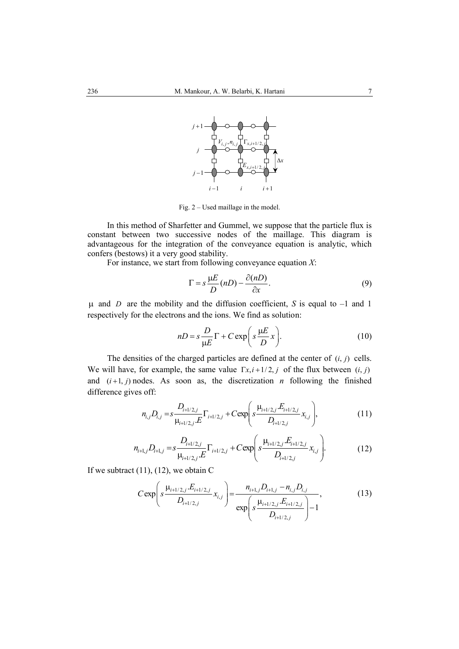

Fig. 2 – Used maillage in the model.

In this method of Sharfetter and Gummel, we suppose that the particle flux is constant between two successive nodes of the maillage. This diagram is advantageous for the integration of the conveyance equation is analytic, which confers (bestows) it a very good stability.

For instance, we start from following conveyance equation *X*:

$$
\Gamma = s \frac{\mu E}{D} (nD) - \frac{\partial (nD)}{\partial x}.
$$
 (9)

µ and *D* are the mobility and the diffusion coefficient, *S* is equal to –1 and 1 respectively for the electrons and the ions. We find as solution:

$$
nD = s \frac{D}{\mu E} \Gamma + C \exp\left(s \frac{\mu E}{D} x\right).
$$
 (10)

The densities of the charged particles are defined at the center of  $(i, j)$  cells. We will have, for example, the same value  $\Gamma x, i+1/2, j$  of the flux between  $(i, j)$ and  $(i+1, j)$  nodes. As soon as, the discretization *n* following the finished difference gives off:

$$
n_{i,j}D_{i,j} = s \frac{D_{i+1/2,j}}{\mu_{i+1/2,j}E} \Gamma_{i+1/2,j} + C \exp\left(s \frac{\mu_{i+1/2,j}E_{i+1/2,j}}{D_{i+1/2,j}}x_{i,j}\right),\tag{11}
$$

$$
n_{i+1,j}D_{i+1,j} = s \frac{D_{i+1/2,j}}{\mu_{i+1/2,j}E} \Gamma_{i+1/2,j} + C \exp\left(s \frac{\mu_{i+1/2,j}E_{i+1/2,j}}{D_{i+1/2,j}}x_{i,j}\right).
$$
(12)

If we subtract  $(11)$ ,  $(12)$ , we obtain C

$$
C \exp\left(s \frac{\mu_{i+1/2,j} . E_{i+1/2,j}}{D_{i+1/2,j}} x_{i,j}\right) = \frac{n_{i+1,j} D_{i+1,j} - n_{i,j} D_{i,j}}{\exp\left(s \frac{\mu_{i+1/2,j} . E_{i+1/2,j}}{D_{i+1/2,j}}\right) - 1},
$$
(13)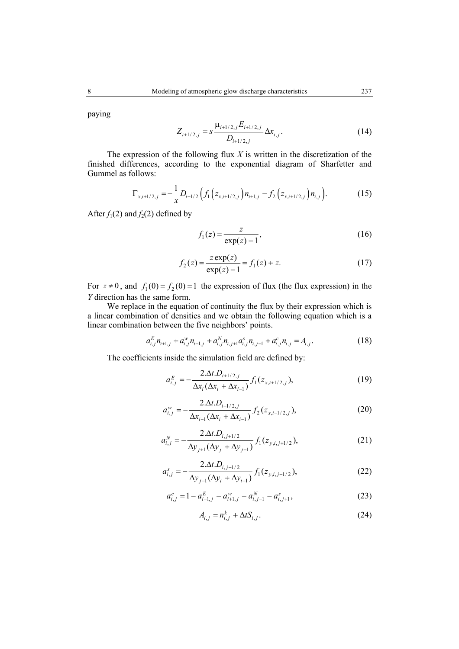paying

$$
Z_{i+1/2,j} = s \frac{\mu_{i+1/2,j} E_{i+1/2,j}}{D_{i+1/2,j}} \Delta x_{i,j}.
$$
 (14)

The expression of the following flux *X* is written in the discretization of the finished differences, according to the exponential diagram of Sharfetter and Gummel as follows:

$$
\Gamma_{x,i+1/2,j} = -\frac{1}{x} D_{i+1/2} \left( f_1 \left( z_{x,i+1/2,j} \right) n_{i+1,j} - f_2 \left( z_{x,i+1/2,j} \right) n_{i,j} \right). \tag{15}
$$

After  $f_1(2)$  and  $f_2(2)$  defined by

$$
f_1(z) = \frac{z}{\exp(z) - 1},\tag{16}
$$

$$
f_2(z) = \frac{z \exp(z)}{\exp(z) - 1} = f_1(z) + z.
$$
 (17)

For  $z \ne 0$ , and  $f_1(0) = f_2(0) = 1$  the expression of flux (the flux expression) in the *Y* direction has the same form.

We replace in the equation of continuity the flux by their expression which is a linear combination of densities and we obtain the following equation which is a linear combination between the five neighbors' points.

$$
a_{i,j}^{E} n_{i+1,j} + a_{i,j}^{w} n_{i-1,j} + a_{i,j}^{N} n_{i,j+1} a_{i,j}^{s} n_{i,j-1} + a_{i,j}^{c} n_{i,j} = A_{i,j}.
$$
 (18)

The coefficients inside the simulation field are defined by:

$$
a_{i,j}^{E} = -\frac{2.\Delta t.D_{i+1/2,j}}{\Delta x_{i}(\Delta x_{i} + \Delta x_{i-1})} f_1(z_{x,i+1/2,j}),
$$
\n(19)

$$
a_{i,j}^{\nu} = -\frac{2.\Delta t.D_{i-1/2,j}}{\Delta x_{i-1}(\Delta x_i + \Delta x_{i-1})} f_2(z_{x,i-1/2,j}),
$$
(20)

$$
a_{i,j}^N = -\frac{2.\Delta t.D_{i,j+1/2}}{\Delta y_{j+1}(\Delta y_j + \Delta y_{j-1})} f_1(z_{y,i,j+1/2}),
$$
\n(21)

$$
a_{i,j}^s = -\frac{2.\Delta t.D_{i,j-1/2}}{\Delta y_{j-1}(\Delta y_i + \Delta y_{i-1})} f_1(z_{y,i,j-1/2}),
$$
\n(22)

$$
a_{i,j}^c = 1 - a_{i-1,j}^E - a_{i+1,j}^W - a_{i,j-1}^N - a_{i,j+1}^s,
$$
\n(23)

$$
A_{i,j} = n_{i,j}^k + \Delta t S_{i,j}.
$$
\n
$$
(24)
$$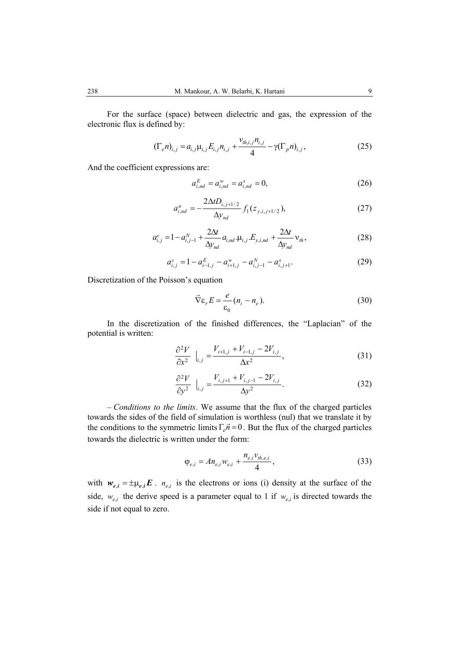For the surface (space) between dielectric and gas, the expression of the electronic flux is defined by:

$$
(\Gamma_e n)_{i,j} = a_{i,j} \mu_{i,j} E_{i,j} n_{i,j} + \frac{v_{ih,i,j} n_{i,j}}{4} - \gamma (\Gamma_p n)_{i,j},
$$
 (25)

And the coefficient expressions are:

$$
a_{i,nd}^E = a_{i,nd}^w = a_{i,nd}^s = 0,
$$
 (26)

$$
a_{i,nd}^{n} = -\frac{2\Delta t D_{i,j+1/2}}{\Delta y_{nd}} f_1(z_{y,i,j+1/2}),
$$
 (27)

$$
a_{i,j}^{c} = 1 - a_{i,j-1}^{N} + \frac{2\Delta t}{\Delta y_{nd}} a_{i,nd} \cdot \mu_{i,j} E_{y,i,nd} + \frac{2\Delta t}{\Delta y_{nd}} v_{th},
$$
\n(28)

$$
a_{i,j}^c = 1 - a_{i-1,j}^E - a_{i+1,j}^W - a_{i,j-1}^N - a_{i,j+1}^s.
$$
 (29)

Discretization of the Poisson's equation

$$
\vec{\nabla}\varepsilon_r E = \frac{e}{\varepsilon_0} (n_i - n_e). \tag{30}
$$

In the discretization of the finished differences, the "Laplacian" of the potential is written:

$$
\frac{\partial^2 V}{\partial x^2} \bigg|_{i,j} = \frac{V_{i+1,j} + V_{i-1,j} - 2V_{i,j}}{\Delta x^2},
$$
\n(31)

$$
\frac{\partial^2 V}{\partial y^2} \bigg|_{i,j} = \frac{V_{i,j+1} + V_{i,j-1} - 2V_{i,j}}{\Delta y^2}.
$$
 (32)

– *Conditions to the limits*. We assume that the flux of the charged particles towards the sides of the field of simulation is worthless (nul) that we translate it by the conditions to the symmetric limits  $\Gamma_e \vec{n} = 0$ . But the flux of the charged particles towards the dielectric is written under the form:

$$
\varphi_{e,i} = A n_{e,i} w_{e,i} + \frac{n_{e,i} v_{th,e,i}}{4},\tag{33}
$$

with  $w_{e,i} = \pm \mu_{e,i} E$ .  $n_{e,i}$  is the electrons or ions (i) density at the surface of the side,  $w_{e,i}$  the derive speed is a parameter equal to 1 if  $w_{e,i}$  is directed towards the side if not equal to zero.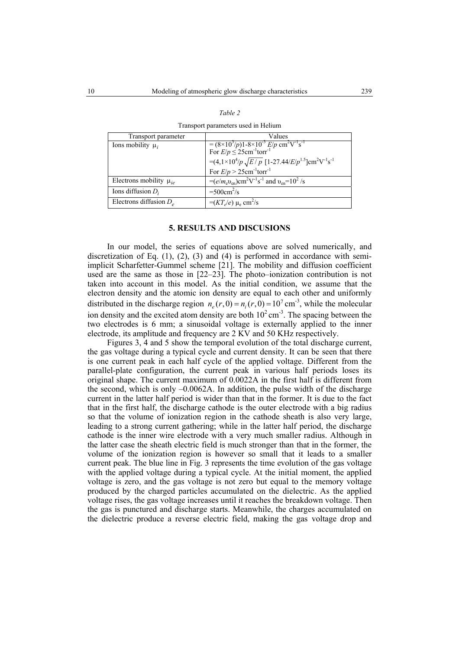| Transport parameter           | Values                                                                                                                                                |
|-------------------------------|-------------------------------------------------------------------------------------------------------------------------------------------------------|
| Ions mobility $\mu_i$         | = $(8 \times 10^3/p)1 - 8 \times 10^{-3}$ E/p cm <sup>2</sup> V <sup>-1</sup> s <sup>-1</sup><br>For E/p $\leq$ 25cm <sup>-1</sup> torr <sup>-1</sup> |
|                               | = $(4.1 \times 10^4/p \sqrt{E/p}$ [1-27.44/E/p <sup>1.5</sup> ]cm <sup>2</sup> V <sup>-1</sup> s <sup>-1</sup>                                        |
|                               | For $E/p > 25$ cm <sup>-1</sup> torr <sup>-1</sup>                                                                                                    |
| Electrons mobility $\mu_{ie}$ | $=(e/m_e v_{en}) \text{cm}^2 \text{V}^{-1} \text{s}^{-1}$ and $v_{en} = 10^2$ /s                                                                      |
| Ions diffusion $D_i$          | $=500 \text{cm}^2/\text{s}$                                                                                                                           |
| Electrons diffusion $D_e$     | $=(KT_e/e) \mu_e$ cm <sup>2</sup> /s                                                                                                                  |

| Table 2                             |  |
|-------------------------------------|--|
| Transport parameters used in Helium |  |

#### **5. RESULTS AND DISCUSIONS**

In our model, the series of equations above are solved numerically, and discretization of Eq.  $(1)$ ,  $(2)$ ,  $(3)$  and  $(4)$  is performed in accordance with semiimplicit Scharfetter-Gummel scheme [21]. The mobility and diffusion coefficient used are the same as those in [22–23]. The photo–ionization contribution is not taken into account in this model. As the initial condition, we assume that the electron density and the atomic ion density are equal to each other and uniformly distributed in the discharge region  $n_e(r, 0) = n_i(r, 0) = 10^7 \text{ cm}^{-3}$ , while the molecular ion density and the excited atom density are both  $10^2 \text{ cm}^3$ . The spacing between the two electrodes is 6 mm; a sinusoidal voltage is externally applied to the inner electrode, its amplitude and frequency are 2 KV and 50 KHz respectively.

Figures 3, 4 and 5 show the temporal evolution of the total discharge current, the gas voltage during a typical cycle and current density. It can be seen that there is one current peak in each half cycle of the applied voltage. Different from the parallel-plate configuration, the current peak in various half periods loses its original shape. The current maximum of 0.0022A in the first half is different from the second, which is only  $-0.0062A$ . In addition, the pulse width of the discharge current in the latter half period is wider than that in the former. It is due to the fact that in the first half, the discharge cathode is the outer electrode with a big radius so that the volume of ionization region in the cathode sheath is also very large, leading to a strong current gathering; while in the latter half period, the discharge cathode is the inner wire electrode with a very much smaller radius. Although in the latter case the sheath electric field is much stronger than that in the former, the volume of the ionization region is however so small that it leads to a smaller current peak. The blue line in Fig. 3 represents the time evolution of the gas voltage with the applied voltage during a typical cycle. At the initial moment, the applied voltage is zero, and the gas voltage is not zero but equal to the memory voltage produced by the charged particles accumulated on the dielectric. As the applied voltage rises, the gas voltage increases until it reaches the breakdown voltage. Then the gas is punctured and discharge starts. Meanwhile, the charges accumulated on the dielectric produce a reverse electric field, making the gas voltage drop and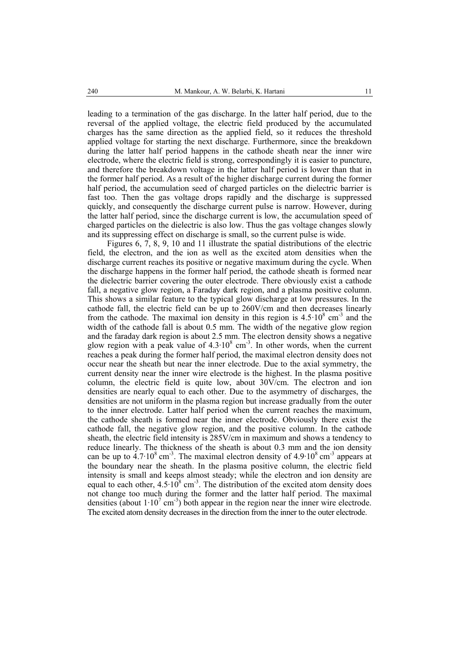leading to a termination of the gas discharge. In the latter half period, due to the reversal of the applied voltage, the electric field produced by the accumulated charges has the same direction as the applied field, so it reduces the threshold applied voltage for starting the next discharge. Furthermore, since the breakdown during the latter half period happens in the cathode sheath near the inner wire electrode, where the electric field is strong, correspondingly it is easier to puncture, and therefore the breakdown voltage in the latter half period is lower than that in the former half period. As a result of the higher discharge current during the former half period, the accumulation seed of charged particles on the dielectric barrier is fast too. Then the gas voltage drops rapidly and the discharge is suppressed quickly, and consequently the discharge current pulse is narrow. However, during the latter half period, since the discharge current is low, the accumulation speed of charged particles on the dielectric is also low. Thus the gas voltage changes slowly and its suppressing effect on discharge is small, so the current pulse is wide.

Figures 6, 7, 8, 9, 10 and 11 illustrate the spatial distributions of the electric field, the electron, and the ion as well as the excited atom densities when the discharge current reaches its positive or negative maximum during the cycle. When the discharge happens in the former half period, the cathode sheath is formed near the dielectric barrier covering the outer electrode. There obviously exist a cathode fall, a negative glow region, a Faraday dark region, and a plasma positive column. This shows a similar feature to the typical glow discharge at low pressures. In the cathode fall, the electric field can be up to 260V/cm and then decreases linearly from the cathode. The maximal ion density in this region is  $4.5 \cdot 10^8$  cm<sup>-3</sup> and the width of the cathode fall is about 0.5 mm. The width of the negative glow region and the faraday dark region is about 2.5 mm. The electron density shows a negative glow region with a peak value of  $4.3 \cdot 10^8$  cm<sup>-3</sup>. In other words, when the current reaches a peak during the former half period, the maximal electron density does not occur near the sheath but near the inner electrode. Due to the axial symmetry, the current density near the inner wire electrode is the highest. In the plasma positive column, the electric field is quite low, about 30V/cm. The electron and ion densities are nearly equal to each other. Due to the asymmetry of discharges, the densities are not uniform in the plasma region but increase gradually from the outer to the inner electrode. Latter half period when the current reaches the maximum, the cathode sheath is formed near the inner electrode. Obviously there exist the cathode fall, the negative glow region, and the positive column. In the cathode sheath, the electric field intensity is 285V/cm in maximum and shows a tendency to reduce linearly. The thickness of the sheath is about 0.3 mm and the ion density can be up to  $4.7 \cdot 10^8$  cm<sup>-3</sup>. The maximal electron density of  $4.9 \cdot 10^8$  cm<sup>-3</sup> appears at the boundary near the sheath. In the plasma positive column, the electric field intensity is small and keeps almost steady; while the electron and ion density are equal to each other,  $4.5 \cdot 10^8$  cm<sup>-3</sup>. The distribution of the excited atom density does not change too much during the former and the latter half period. The maximal densities (about  $1 \cdot 10^7$  cm<sup>-3</sup>) both appear in the region near the inner wire electrode. The excited atom density decreases in the direction from the inner to the outer electrode.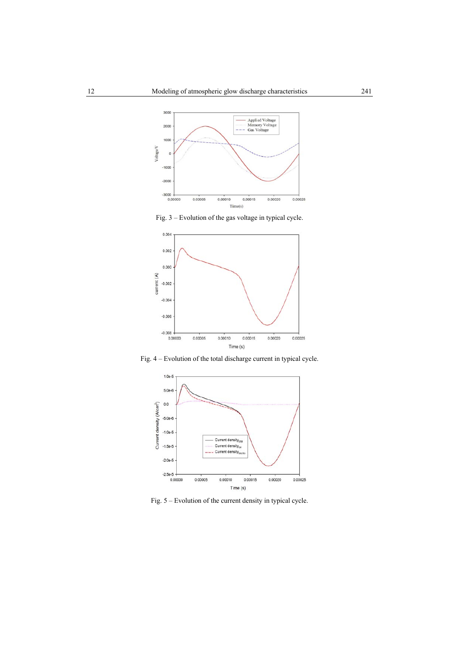

Fig. 3 – Evolution of the gas voltage in typical cycle.



Fig. 4 – Evolution of the total discharge current in typical cycle.



Fig. 5 – Evolution of the current density in typical cycle.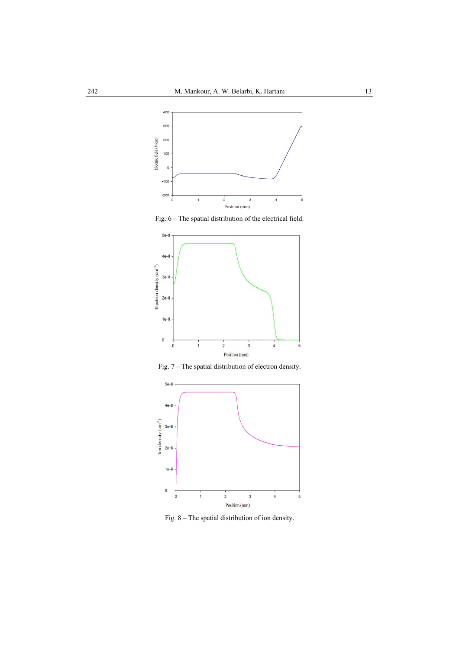

Fig. 6 – The spatial distribution of the electrical field.



Fig. 7 – The spatial distribution of electron density.



Fig. 8 – The spatial distribution of ion density.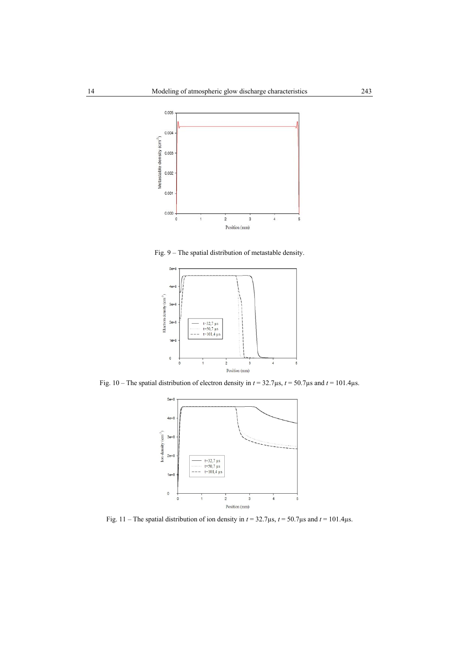

Fig. 9 – The spatial distribution of metastable density.



Fig. 10 – The spatial distribution of electron density in *t* = 32.7µs, *t* = 50.7µs and *t* = 101.4µs.



Fig. 11 – The spatial distribution of ion density in  $t = 32.7 \mu s$ ,  $t = 50.7 \mu s$  and  $t = 101.4 \mu s$ .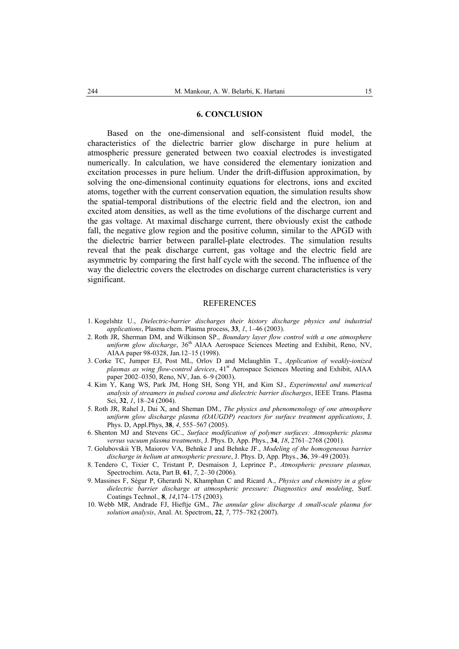#### **6. CONCLUSION**

Based on the one-dimensional and self-consistent fluid model, the characteristics of the dielectric barrier glow discharge in pure helium at atmospheric pressure generated between two coaxial electrodes is investigated numerically. In calculation, we have considered the elementary ionization and excitation processes in pure helium. Under the drift-diffusion approximation, by solving the one-dimensional continuity equations for electrons, ions and excited atoms, together with the current conservation equation, the simulation results show the spatial-temporal distributions of the electric field and the electron, ion and excited atom densities, as well as the time evolutions of the discharge current and the gas voltage. At maximal discharge current, there obviously exist the cathode fall, the negative glow region and the positive column, similar to the APGD with the dielectric barrier between parallel-plate electrodes. The simulation results reveal that the peak discharge current, gas voltage and the electric field are asymmetric by comparing the first half cycle with the second. The influence of the way the dielectric covers the electrodes on discharge current characteristics is very significant.

#### **REFERENCES**

- 1. Kogelshtz U., *Dielectric-barrier discharges their history discharge physics and industrial applications*, Plasma chem. Plasma process, **33**, *1*, 1–46 (2003).
- 2. Roth JR, Sherman DM, and Wilkinson SP., *Boundary layer flow control with a one atmosphere*  uniform glow discharge, 36<sup>th</sup> AIAA Aerospace Sciences Meeting and Exhibit, Reno, NV, AIAA paper 98-0328, Jan.12–15 (1998).
- 3. Corke TC, Jumper EJ, Post ML, Orlov D and Mclaughlin T., *Application of weakly-ionized plasmas as wing flow-control devices*, 41<sup>st</sup> Aerospace Sciences Meeting and Exhibit, AIAA paper 2002–0350, Reno, NV, Jan. 6–9 (2003).
- 4. Kim Y, Kang WS, Park JM, Hong SH, Song YH, and Kim SJ., *Experimental and numerical analysis of streamers in pulsed corona and dielectric barrier discharges*, IEEE Trans. Plasma Sci, **32**, *1*, 18–24 (2004).
- 5. Roth JR, Rahel J, Dai X, and Sheman DM., *The physics and phenomenology of one atmosphere uniform glow discharge plasma (OAUGDP) reactors for surface treatment applications*, J. Phys. D, Appl.Phys, **38**, *4*, 555–567 (2005).
- 6. Shenton MJ and Stevens GC., *Surface modification of polymer surfaces: Atmospheric plasma versus vacuum plasma treatments*, J. Phys. D, App. Phys., **34**, *18*, 2761–2768 (2001).
- 7. Golubovskii YB, Maiorov VA, Behnke J and Behnke JF., *Modeling of the homogeneous barrier discharge in helium at atmospheric pressure*, J. Phys. D, App. Phys., **36**, 39–49 (2003).
- 8. Tendero C, Tixier C, Tristant P, Desmaison J, Leprince P., *Atmospheric pressure plasmas,*  Spectrochim. Acta, Part B*,* **61**, *7*, 2–30 (2006).
- 9. Massines F, Ségur P, Gherardi N, Khamphan C and Ricard A., *Physics and chemistry in a glow dielectric barrier discharge at atmospheric pressure: Diagnostics and modeling*, Surf. Coatings Technol., **8**, *14*,174–175 (2003).
- 10. Webb MR, Andrade FJ, Hieftje GM., *The annular glow discharge A small-scale plasma for solution analysis*, Anal. At. Spectrom, **22**, *7*, 775–782 (2007).